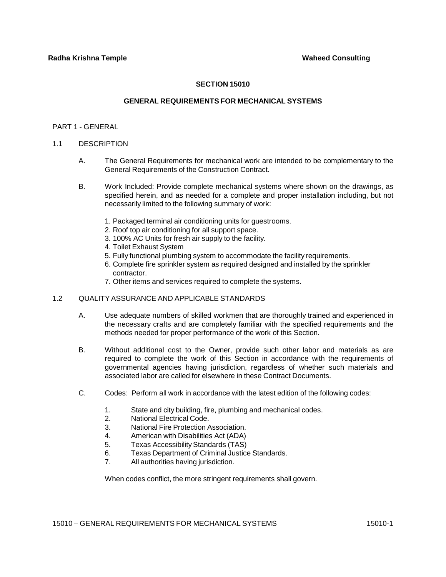# **SECTION 15010**

# **GENERAL REQUIREMENTS FOR MECHANICAL SYSTEMS**

### PART 1 - GENERAL

### 1.1 DESCRIPTION

- A. The General Requirements for mechanical work are intended to be complementary to the General Requirements of the Construction Contract.
- B. Work Included: Provide complete mechanical systems where shown on the drawings, as specified herein, and as needed for a complete and proper installation including, but not necessarily limited to the following summary of work:
	- 1. Packaged terminal air conditioning units for guestrooms.
	- 2. Roof top air conditioning for all support space.
	- 3. 100% AC Units for fresh air supply to the facility.
	- 4. Toilet Exhaust System
	- 5. Fully functional plumbing system to accommodate the facility requirements.
	- 6. Complete fire sprinkler system as required designed and installed by the sprinkler contractor.
	- 7. Other items and services required to complete the systems.

# 1.2 QUALITY ASSURANCE AND APPLICABLE STANDARDS

- A. Use adequate numbers of skilled workmen that are thoroughly trained and experienced in the necessary crafts and are completely familiar with the specified requirements and the methods needed for proper performance of the work of this Section.
- B. Without additional cost to the Owner, provide such other labor and materials as are required to complete the work of this Section in accordance with the requirements of governmental agencies having jurisdiction, regardless of whether such materials and associated labor are called for elsewhere in these Contract Documents.
- C. Codes: Perform all work in accordance with the latest edition of the following codes:
	- 1. State and city building, fire, plumbing and mechanical codes.
	- 2. National Electrical Code.
	- 3. National Fire Protection Association.
	- 4. American with Disabilities Act (ADA)
	- 5. Texas Accessibility Standards (TAS)
	- 6. Texas Department of Criminal Justice Standards.
	- 7. All authorities having jurisdiction.

When codes conflict, the more stringent requirements shall govern.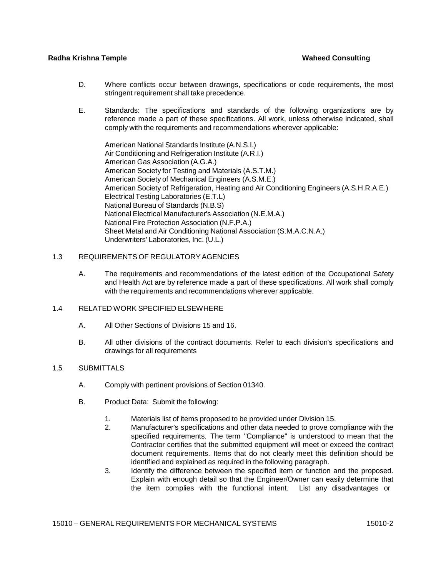- D. Where conflicts occur between drawings, specifications or code requirements, the most stringent requirement shall take precedence.
- E. Standards: The specifications and standards of the following organizations are by reference made a part of these specifications. All work, unless otherwise indicated, shall comply with the requirements and recommendations wherever applicable:

American National Standards Institute (A.N.S.I.) Air Conditioning and Refrigeration Institute (A.R.I.) American Gas Association (A.G.A.) American Society for Testing and Materials (A.S.T.M.) American Society of Mechanical Engineers (A.S.M.E.) American Society of Refrigeration, Heating and Air Conditioning Engineers (A.S.H.R.A.E.) Electrical Testing Laboratories (E.T.L) National Bureau of Standards (N.B.S) National Electrical Manufacturer's Association (N.E.M.A.) National Fire Protection Association (N.F.P.A.) Sheet Metal and Air Conditioning National Association (S.M.A.C.N.A.) Underwriters' Laboratories, Inc. (U.L.)

# 1.3 REQUIREMENTS OF REGULATORY AGENCIES

A. The requirements and recommendations of the latest edition of the Occupational Safety and Health Act are by reference made a part of these specifications. All work shall comply with the requirements and recommendations wherever applicable.

# 1.4 RELATED WORK SPECIFIED ELSEWHERE

- A. All Other Sections of Divisions 15 and 16.
- B. All other divisions of the contract documents. Refer to each division's specifications and drawings for all requirements

# 1.5 SUBMITTALS

- A. Comply with pertinent provisions of Section 01340.
- B. Product Data: Submit the following:
	- 1. Materials list of items proposed to be provided under Division 15.
	- 2. Manufacturer's specifications and other data needed to prove compliance with the specified requirements. The term "Compliance" is understood to mean that the Contractor certifies that the submitted equipment will meet or exceed the contract document requirements. Items that do not clearly meet this definition should be identified and explained as required in the following paragraph.
	- 3. Identify the difference between the specified item or function and the proposed. Explain with enough detail so that the Engineer/Owner can easily determine that the item complies with the functional intent. List any disadvantages or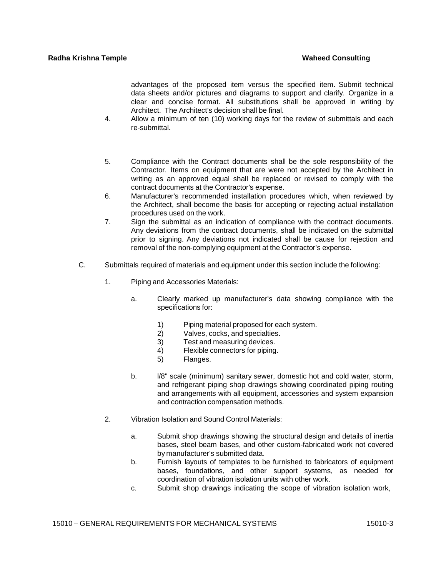advantages of the proposed item versus the specified item. Submit technical data sheets and/or pictures and diagrams to support and clarify. Organize in a clear and concise format. All substitutions shall be approved in writing by Architect. The Architect's decision shall be final.

- 4. Allow a minimum of ten (10) working days for the review of submittals and each re-submittal.
- 5. Compliance with the Contract documents shall be the sole responsibility of the Contractor. Items on equipment that are were not accepted by the Architect in writing as an approved equal shall be replaced or revised to comply with the contract documents at the Contractor's expense.
- 6. Manufacturer's recommended installation procedures which, when reviewed by the Architect, shall become the basis for accepting or rejecting actual installation procedures used on the work.
- 7. Sign the submittal as an indication of compliance with the contract documents. Any deviations from the contract documents, shall be indicated on the submittal prior to signing. Any deviations not indicated shall be cause for rejection and removal of the non-complying equipment at the Contractor's expense.
- C. Submittals required of materials and equipment under this section include the following:
	- 1. Piping and Accessories Materials:
		- a. Clearly marked up manufacturer's data showing compliance with the specifications for:
			- 1) Piping material proposed for each system.
			- 2) Valves, cocks, and specialties.
			- 3) Test and measuring devices.
			- 4) Flexible connectors for piping.
			- 5) Flanges.
		- b. *l/8"* scale (minimum) sanitary sewer, domestic hot and cold water, storm, and refrigerant piping shop drawings showing coordinated piping routing and arrangements with all equipment, accessories and system expansion and contraction compensation methods.
	- 2. Vibration Isolation and Sound Control Materials:
		- a. Submit shop drawings showing the structural design and details of inertia bases, steel beam bases, and other custom-fabricated work not covered by manufacturer's submitted data.
		- b. Furnish layouts of templates to be furnished to fabricators of equipment bases, foundations, and other support systems, as needed for coordination of vibration isolation units with other work.
		- c. Submit shop drawings indicating the scope of vibration isolation work,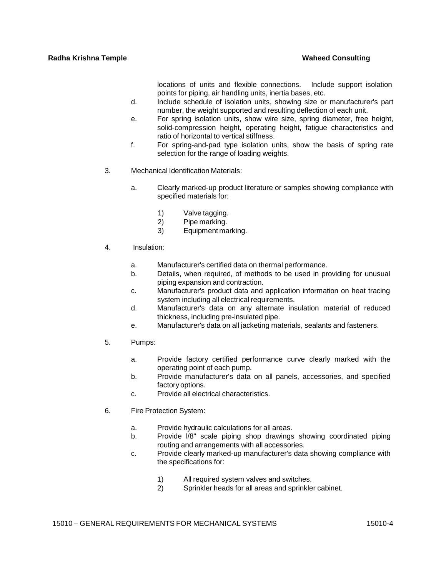locations of units and flexible connections. Include support isolation points for piping, air handling units, inertia bases, etc.

- d. Include schedule of isolation units, showing size or manufacturer's part number, the weight supported and resulting deflection of each unit.
- e. For spring isolation units, show wire size, spring diameter, free height, solid-compression height, operating height, fatigue characteristics and ratio of horizontal to vertical stiffness.
- f. For spring-and-pad type isolation units, show the basis of spring rate selection for the range of loading weights.
- 3. Mechanical Identification Materials:
	- a. Clearly marked-up product literature or samples showing compliance with specified materials for:
		- 1) Valve tagging.
		- 2) Pipe marking.
		- 3) Equipment marking.
- 4. Insulation:
	- a. Manufacturer's certified data on thermal performance.
	- b. Details, when required, of methods to be used in providing for unusual piping expansion and contraction.
	- c. Manufacturer's product data and application information on heat tracing system including all electrical requirements.
	- d. Manufacturer's data on any alternate insulation material of reduced thickness, including pre-insulated pipe.
	- e. Manufacturer's data on all jacketing materials, sealants and fasteners.
- 5. Pumps:
	- a. Provide factory certified performance curve clearly marked with the operating point of each pump.
	- b. Provide manufacturer's data on all panels, accessories, and specified factory options.
	- c. Provide all electrical characteristics.
- 6. Fire Protection System:
	- a. Provide hydraulic calculations for all areas.
	- b. Provide l/8" scale piping shop drawings showing coordinated piping routing and arrangements with all accessories.
	- c. Provide clearly marked-up manufacturer's data showing compliance with the specifications for:
		- 1) All required system valves and switches.
		- 2) Sprinkler heads for all areas and sprinkler cabinet.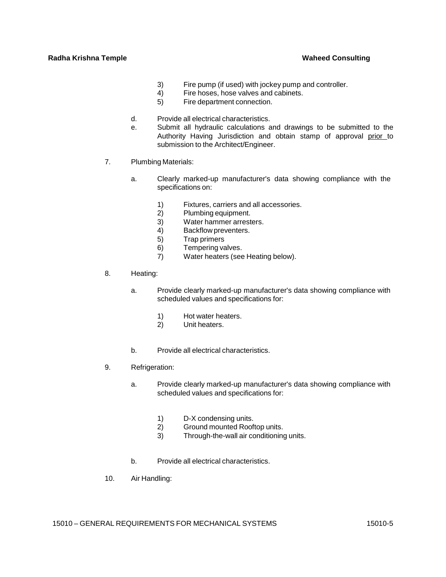- 3) Fire pump (if used) with jockey pump and controller.
- 4) Fire hoses, hose valves and cabinets.
- 5) Fire department connection.
- d. Provide all electrical characteristics.
- e. Submit all hydraulic calculations and drawings to be submitted to the Authority Having Jurisdiction and obtain stamp of approval prior to submission to the Architect/Engineer.
- 7. Plumbing Materials:
	- a. Clearly marked-up manufacturer's data showing compliance with the specifications on:
		- 1) Fixtures, carriers and all accessories.
		- 2) Plumbing equipment.
		- 3) Water hammer arresters.
		- 4) Backflow preventers.
		- 5) Trap primers
		- 6) Tempering valves.
		- 7) Water heaters (see Heating below).
- 8. Heating:
	- a. Provide clearly marked-up manufacturer's data showing compliance with scheduled values and specifications for:
		- 1) Hot water heaters.
		- 2) Unit heaters.
	- b. Provide all electrical characteristics.
- 9. Refrigeration:
	- a. Provide clearly marked-up manufacturer's data showing compliance with scheduled values and specifications for:
		- 1) D-X condensing units.
		- 2) Ground mounted Rooftop units.
		- 3) Through-the-wall air conditioning units.
	- b. Provide all electrical characteristics.
- 10. Air Handling: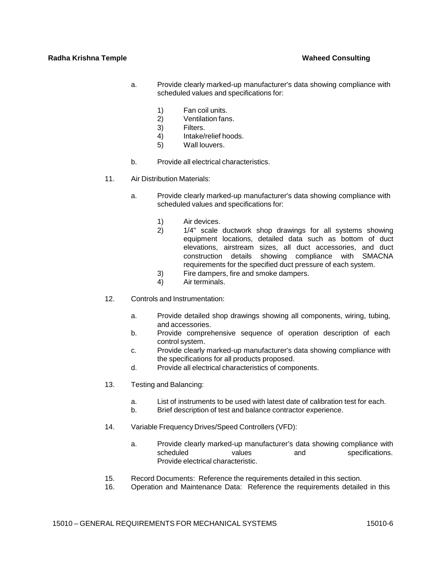- a. Provide clearly marked-up manufacturer's data showing compliance with scheduled values and specifications for:
	- 1) Fan coil units.<br>2) Ventilation fan:
	- Ventilation fans.
	- 3) Filters.
	- 4) Intake/relief hoods.
	- 5) Wall louvers.
- b. Provide all electrical characteristics.
- 11. Air Distribution Materials:
	- a. Provide clearly marked-up manufacturer's data showing compliance with scheduled values and specifications for:
		- 1) Air devices.
		- 2) 1/4" scale ductwork shop drawings for all systems showing equipment locations, detailed data such as bottom of duct elevations, airstream sizes, all duct accessories, and duct construction details showing compliance with SMACNA requirements for the specified duct pressure of each system.
		- 3) Fire dampers, fire and smoke dampers.
		- 4) Air terminals.
- 12. Controls and Instrumentation:
	- a. Provide detailed shop drawings showing all components, wiring, tubing, and accessories.
	- b. Provide comprehensive sequence of operation description of each control system.
	- c. Provide clearly marked-up manufacturer's data showing compliance with the specifications for all products proposed.
	- d. Provide all electrical characteristics of components.
- 13. Testing and Balancing:
	- a. List of instruments to be used with latest date of calibration test for each.
	- b. Brief description of test and balance contractor experience.
- 14. Variable Frequency Drives/Speed Controllers (VFD):
	- a. Provide clearly marked-up manufacturer's data showing compliance with scheduled values and specifications. Provide electrical characteristic.
- 15. Record Documents: Reference the requirements detailed in this section.
- 16. Operation and Maintenance Data: Reference the requirements detailed in this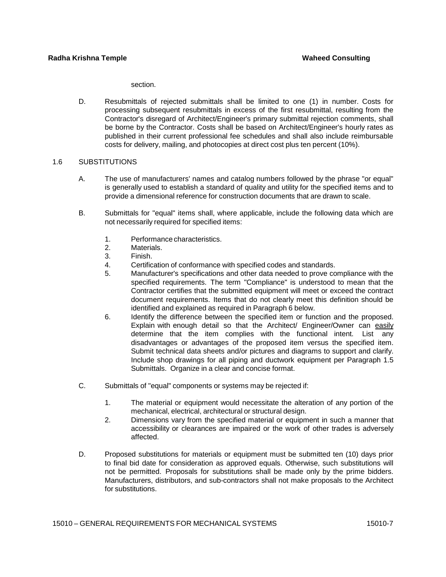section.

D. Resubmittals of rejected submittals shall be limited to one (1) in number. Costs for processing subsequent resubmittals in excess of the first resubmittal, resulting from the Contractor's disregard of Architect/Engineer's primary submittal rejection comments, shall be borne by the Contractor. Costs shall be based on Architect/Engineer's hourly rates as published in their current professional fee schedules and shall also include reimbursable costs for delivery, mailing, and photocopies at direct cost plus ten percent (10%).

### 1.6 SUBSTITUTIONS

- A. The use of manufacturers' names and catalog numbers followed by the phrase "or equal" is generally used to establish a standard of quality and utility for the specified items and to provide a dimensional reference for construction documents that are drawn to scale.
- B. Submittals for "equal" items shall, where applicable, include the following data which are not necessarily required for specified items:
	- 1. Performance characteristics.
	- 2. Materials.
	- 3. Finish.
	- 4. Certification of conformance with specified codes and standards.
	- 5. Manufacturer's specifications and other data needed to prove compliance with the specified requirements. The term "Compliance" is understood to mean that the Contractor certifies that the submitted equipment will meet or exceed the contract document requirements. Items that do not clearly meet this definition should be identified and explained as required in Paragraph 6 below.
	- 6. Identify the difference between the specified item or function and the proposed. Explain with enough detail so that the Architect/ Engineer/Owner can easily determine that the item complies with the functional intent. List any disadvantages or advantages of the proposed item versus the specified item. Submit technical data sheets and/or pictures and diagrams to support and clarify. Include shop drawings for all piping and ductwork equipment per Paragraph 1.5 Submittals. Organize in a clear and concise format.
- C. Submittals of "equal" components or systems may be rejected if:
	- 1. The material or equipment would necessitate the alteration of any portion of the mechanical, electrical, architectural or structural design.
	- 2. Dimensions vary from the specified material or equipment in such a manner that accessibility or clearances are impaired or the work of other trades is adversely affected.
- D. Proposed substitutions for materials or equipment must be submitted ten (10) days prior to final bid date for consideration as approved equals. Otherwise, such substitutions will not be permitted. Proposals for substitutions shall be made only by the prime bidders. Manufacturers, distributors, and sub-contractors shall not make proposals to the Architect for substitutions.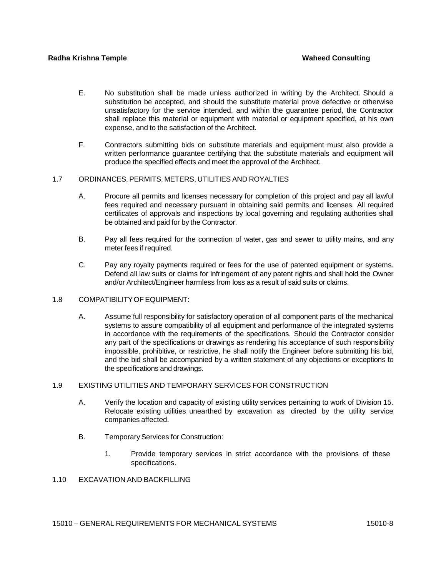- E. No substitution shall be made unless authorized in writing by the Architect. Should a substitution be accepted, and should the substitute material prove defective or otherwise unsatisfactory for the service intended, and within the guarantee period, the Contractor shall replace this material or equipment with material or equipment specified, at his own expense, and to the satisfaction of the Architect.
- F. Contractors submitting bids on substitute materials and equipment must also provide a written performance guarantee certifying that the substitute materials and equipment will produce the specified effects and meet the approval of the Architect.

# 1.7 ORDINANCES, PERMITS, METERS, UTILITIES AND ROYALTIES

- A. Procure all permits and licenses necessary for completion of this project and pay all lawful fees required and necessary pursuant in obtaining said permits and licenses. All required certificates of approvals and inspections by local governing and regulating authorities shall be obtained and paid for by the Contractor.
- B. Pay all fees required for the connection of water, gas and sewer to utility mains, and any meter fees if required.
- C. Pay any royalty payments required or fees for the use of patented equipment or systems. Defend all law suits or claims for infringement of any patent rights and shall hold the Owner and/or Architect/Engineer harmless from loss as a result of said suits or claims.

# 1.8 COMPATIBILITYOF EQUIPMENT:

A. Assume full responsibility for satisfactory operation of all component parts of the mechanical systems to assure compatibility of all equipment and performance of the integrated systems in accordance with the requirements of the specifications. Should the Contractor consider any part of the specifications or drawings as rendering his acceptance of such responsibility impossible, prohibitive, or restrictive, he shall notify the Engineer before submitting his bid, and the bid shall be accompanied by a written statement of any objections or exceptions to the specifications and drawings.

# 1.9 EXISTING UTILITIES AND TEMPORARY SERVICES FOR CONSTRUCTION

- A. Verify the location and capacity of existing utility services pertaining to work of Division 15. Relocate existing utilities unearthed by excavation as directed by the utility service companies affected.
- B. Temporary Services for Construction:
	- 1. Provide temporary services in strict accordance with the provisions of these specifications.
- 1.10 EXCAVATION AND BACKFILLING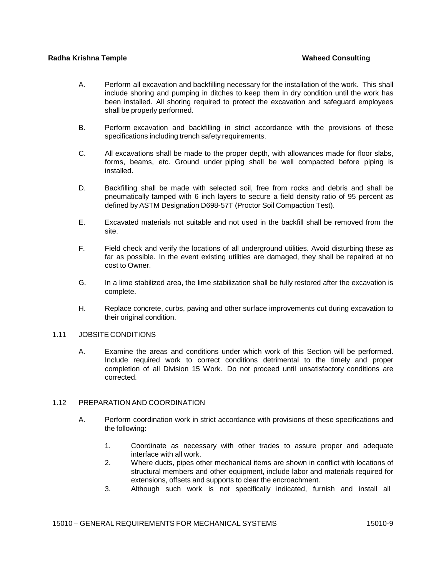- A. Perform all excavation and backfilling necessary for the installation of the work. This shall include shoring and pumping in ditches to keep them in dry condition until the work has been installed. All shoring required to protect the excavation and safeguard employees shall be properly performed.
- B. Perform excavation and backfilling in strict accordance with the provisions of these specifications including trench safety requirements.
- C. All excavations shall be made to the proper depth, with allowances made for floor slabs, forms, beams, etc. Ground under piping shall be well compacted before piping is installed.
- D. Backfilling shall be made with selected soil, free from rocks and debris and shall be pneumatically tamped with 6 inch layers to secure a field density ratio of 95 percent as defined by ASTM Designation D698-57T (Proctor Soil Compaction Test).
- E. Excavated materials not suitable and not used in the backfill shall be removed from the site.
- F. Field check and verify the locations of all underground utilities. Avoid disturbing these as far as possible. In the event existing utilities are damaged, they shall be repaired at no cost to Owner.
- G. In a lime stabilized area, the lime stabilization shall be fully restored after the excavation is complete.
- H. Replace concrete, curbs, paving and other surface improvements cut during excavation to their original condition.

### 1.11 JOBSITE CONDITIONS

A. Examine the areas and conditions under which work of this Section will be performed. Include required work to correct conditions detrimental to the timely and proper completion of all Division 15 Work. Do not proceed until unsatisfactory conditions are corrected.

### 1.12 PREPARATION AND COORDINATION

- A. Perform coordination work in strict accordance with provisions of these specifications and the following:
	- 1. Coordinate as necessary with other trades to assure proper and adequate interface with all work.
	- 2. Where ducts, pipes other mechanical items are shown in conflict with locations of structural members and other equipment, include labor and materials required for extensions, offsets and supports to clear the encroachment.
	- 3. Although such work is not specifically indicated, furnish and install all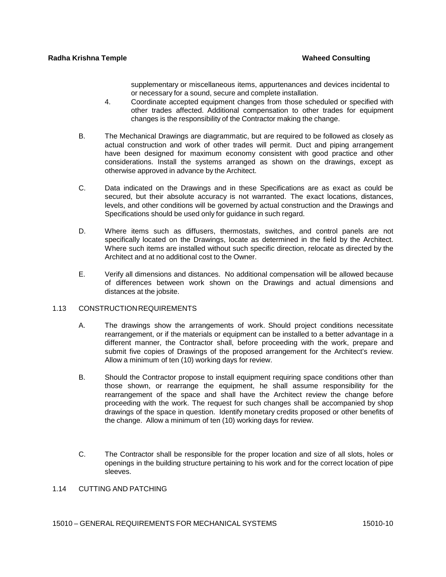supplementary or miscellaneous items, appurtenances and devices incidental to or necessary for a sound, secure and complete installation.

- 4. Coordinate accepted equipment changes from those scheduled or specified with other trades affected. Additional compensation to other trades for equipment changes is the responsibility of the Contractor making the change.
- B. The Mechanical Drawings are diagrammatic, but are required to be followed as closely as actual construction and work of other trades will permit. Duct and piping arrangement have been designed for maximum economy consistent with good practice and other considerations. Install the systems arranged as shown on the drawings, except as otherwise approved in advance by the Architect.
- C. Data indicated on the Drawings and in these Specifications are as exact as could be secured, but their absolute accuracy is not warranted. The exact locations, distances, levels, and other conditions will be governed by actual construction and the Drawings and Specifications should be used only for guidance in such regard.
- D. Where items such as diffusers, thermostats, switches, and control panels are not specifically located on the Drawings, locate as determined in the field by the Architect. Where such items are installed without such specific direction, relocate as directed by the Architect and at no additional cost to the Owner.
- E. Verify all dimensions and distances. No additional compensation will be allowed because of differences between work shown on the Drawings and actual dimensions and distances at the jobsite.

# 1.13 CONSTRUCTIONREQUIREMENTS

- A. The drawings show the arrangements of work. Should project conditions necessitate rearrangement, or if the materials or equipment can be installed to a better advantage in a different manner, the Contractor shall, before proceeding with the work, prepare and submit five copies of Drawings of the proposed arrangement for the Architect's review. Allow a minimum of ten (10) working days for review.
- B. Should the Contractor propose to install equipment requiring space conditions other than those shown, or rearrange the equipment, he shall assume responsibility for the rearrangement of the space and shall have the Architect review the change before proceeding with the work. The request for such changes shall be accompanied by shop drawings of the space in question. Identify monetary credits proposed or other benefits of the change. Allow a minimum of ten (10) working days for review.
- C. The Contractor shall be responsible for the proper location and size of all slots, holes or openings in the building structure pertaining to his work and for the correct location of pipe sleeves.

# 1.14 CUTTING AND PATCHING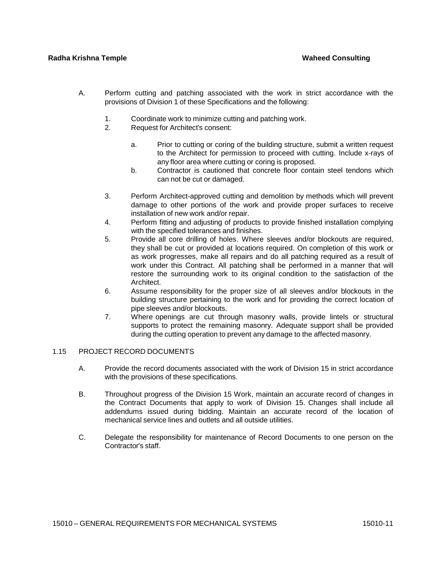- A. Perform cutting and patching associated with the work in strict accordance with the provisions of Division 1 of these Specifications and the following:
	- 1. Coordinate work to minimize cutting and patching work.
	- 2. Request for Architect's consent:
		- a. Prior to cutting or coring of the building structure, submit a written request to the Architect for permission to proceed with cutting. Include x-rays of any floor area where cutting or coring is proposed.
		- b. Contractor is cautioned that concrete floor contain steel tendons which can not be cut or damaged.
	- 3. Perform Architect-approved cutting and demolition by methods which will prevent damage to other portions of the work and provide proper surfaces to receive installation of new work and/or repair.
	- 4. Perform fitting and adjusting of products to provide finished installation complying with the specified tolerances and finishes.
	- 5. Provide all core drilling of holes. Where sleeves and/or blockouts are required, they shall be cut or provided at locations required. On completion of this work or as work progresses, make all repairs and do all patching required as a result of work under this Contract. All patching shall be performed in a manner that will restore the surrounding work to its original condition to the satisfaction of the Architect.
	- 6. Assume responsibility for the proper size of all sleeves and/or blockouts in the building structure pertaining to the work and for providing the correct location of pipe sleeves and/or blockouts.
	- 7. Where openings are cut through masonry walls, provide lintels or structural supports to protect the remaining masonry. Adequate support shall be provided during the cutting operation to prevent any damage to the affected masonry.

# 1.15 PROJECT RECORD DOCUMENTS

- A. Provide the record documents associated with the work of Division 15 in strict accordance with the provisions of these specifications.
- B. Throughout progress of the Division 15 Work, maintain an accurate record of changes in the Contract Documents that apply to work of Division 15. Changes shall include all addendums issued during bidding. Maintain an accurate record of the location of mechanical service lines and outlets and all outside utilities.
- C. Delegate the responsibility for maintenance of Record Documents to one person on the Contractor's staff.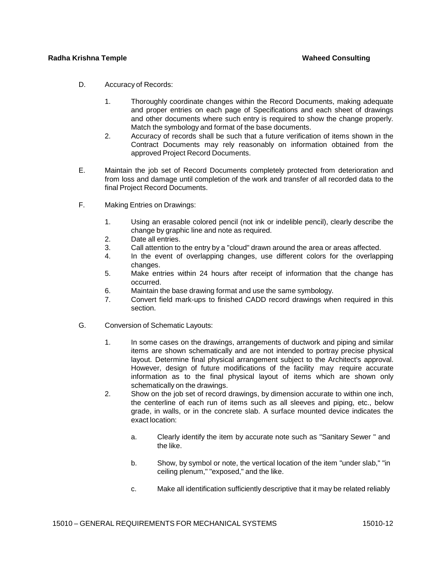- D. Accuracy of Records:
	- 1. Thoroughly coordinate changes within the Record Documents, making adequate and proper entries on each page of Specifications and each sheet of drawings and other documents where such entry is required to show the change properly. Match the symbology and format of the base documents.
	- 2. Accuracy of records shall be such that a future verification of items shown in the Contract Documents may rely reasonably on information obtained from the approved Project Record Documents.
- E. Maintain the job set of Record Documents completely protected from deterioration and from loss and damage until completion of the work and transfer of all recorded data to the final Project Record Documents.
- F. Making Entries on Drawings:
	- 1. Using an erasable colored pencil (not ink or indelible pencil), clearly describe the change by graphic line and note as required.
	- 2. Date all entries.
	- 3. Call attention to the entry by a "cloud" drawn around the area or areas affected.
	- 4. In the event of overlapping changes, use different colors for the overlapping changes.
	- 5. Make entries within 24 hours after receipt of information that the change has occurred.
	- 6. Maintain the base drawing format and use the same symbology.
	- 7. Convert field mark-ups to finished CADD record drawings when required in this section.
- G. Conversion of Schematic Layouts:
	- 1. In some cases on the drawings, arrangements of ductwork and piping and similar items are shown schematically and are not intended to portray precise physical layout. Determine final physical arrangement subject to the Architect's approval. However, design of future modifications of the facility may require accurate information as to the final physical layout of items which are shown only schematically on the drawings.
	- 2. Show on the job set of record drawings, by dimension accurate to within one inch, the centerline of each run of items such as all sleeves and piping, etc., below grade, in walls, or in the concrete slab. A surface mounted device indicates the exact location:
		- a. Clearly identify the item by accurate note such as "Sanitary Sewer " and the like.
		- b. Show, by symbol or note, the vertical location of the item "under slab," "in ceiling plenum," "exposed," and the like.
		- c. Make all identification sufficiently descriptive that it may be related reliably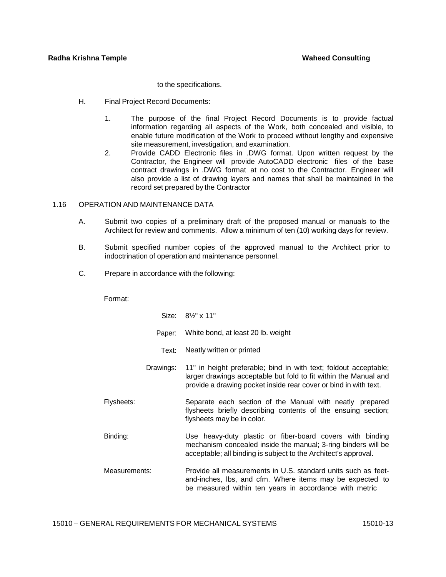to the specifications.

- H. Final Project Record Documents:
	- 1. The purpose of the final Project Record Documents is to provide factual information regarding all aspects of the Work, both concealed and visible, to enable future modification of the Work to proceed without lengthy and expensive site measurement, investigation, and examination.
	- 2. Provide CADD Electronic files in .DWG format. Upon written request by the Contractor, the Engineer will provide AutoCADD electronic files of the base contract drawings in .DWG format at no cost to the Contractor. Engineer will also provide a list of drawing layers and names that shall be maintained in the record set prepared by the Contractor

# 1.16 OPERATION AND MAINTENANCE DATA

- A. Submit two copies of a preliminary draft of the proposed manual or manuals to the Architect for review and comments. Allow a minimum of ten (10) working days for review.
- B. Submit specified number copies of the approved manual to the Architect prior to indoctrination of operation and maintenance personnel.
- C. Prepare in accordance with the following:

# Format:

|               | Size: 8 <sup>1</sup> / <sub>2</sub> " x 11"                                                                                                                                                              |
|---------------|----------------------------------------------------------------------------------------------------------------------------------------------------------------------------------------------------------|
| Paper:        | White bond, at least 20 lb. weight                                                                                                                                                                       |
| Text:         | Neatly written or printed                                                                                                                                                                                |
| Drawings:     | 11" in height preferable; bind in with text; foldout acceptable;<br>larger drawings acceptable but fold to fit within the Manual and<br>provide a drawing pocket inside rear cover or bind in with text. |
| Flysheets:    | Separate each section of the Manual with neatly prepared<br>flysheets briefly describing contents of the ensuing section;<br>flysheets may be in color.                                                  |
| Binding:      | Use heavy-duty plastic or fiber-board covers with binding<br>mechanism concealed inside the manual; 3-ring binders will be<br>acceptable; all binding is subject to the Architect's approval.            |
| Measurements: | Provide all measurements in U.S. standard units such as feet-<br>and-inches, lbs, and cfm. Where items may be expected to<br>be measured within ten years in accordance with metric                      |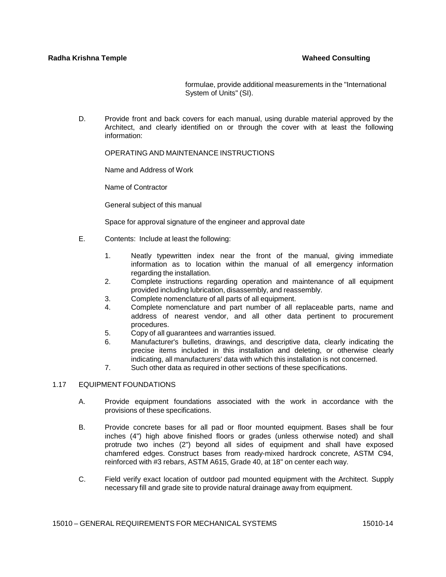formulae, provide additional measurements in the "International System of Units" (SI).

D. Provide front and back covers for each manual, using durable material approved by the Architect, and clearly identified on or through the cover with at least the following information:

OPERATING AND MAINTENANCE INSTRUCTIONS

Name and Address of Work

Name of Contractor

General subject of this manual

Space for approval signature of the engineer and approval date

- E. Contents: Include at least the following:
	- 1. Neatly typewritten index near the front of the manual, giving immediate information as to location within the manual of all emergency information regarding the installation.
	- 2. Complete instructions regarding operation and maintenance of all equipment provided including lubrication, disassembly, and reassembly.
	- 3. Complete nomenclature of all parts of all equipment.
	- 4. Complete nomenclature and part number of all replaceable parts, name and address of nearest vendor, and all other data pertinent to procurement procedures.
	- 5. Copy of all guarantees and warranties issued.
	- 6. Manufacturer's bulletins, drawings, and descriptive data, clearly indicating the precise items included in this installation and deleting, or otherwise clearly indicating, all manufacturers' data with which this installation is not concerned.
	- 7. Such other data as required in other sections of these specifications.

# 1.17 EQUIPMENT FOUNDATIONS

- A. Provide equipment foundations associated with the work in accordance with the provisions of these specifications.
- B. Provide concrete bases for all pad or floor mounted equipment. Bases shall be four inches (4") high above finished floors or grades (unless otherwise noted) and shall protrude two inches (2") beyond all sides of equipment and shall have exposed chamfered edges. Construct bases from ready-mixed hardrock concrete, ASTM C94, reinforced with #3 rebars, ASTM A615, Grade 40, at 18" on center each way.
- C. Field verify exact location of outdoor pad mounted equipment with the Architect. Supply necessary fill and grade site to provide natural drainage away from equipment.